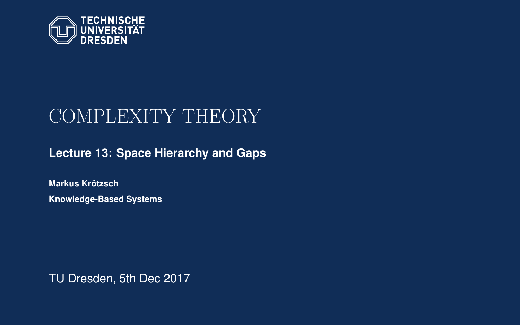<span id="page-0-0"></span>

# COMPLEXITY THEORY

**[Lecture 13: Space Hierarchy and Gaps](https://iccl.inf.tu-dresden.de/web/Complexity_Theory_(WS2017/18))**

**[Markus Krotzsch](https://iccl.inf.tu-dresden.de/web/Markus_Kr%C3%B6tzsch/en) ¨ Knowledge-Based Systems**

TU Dresden, 5th Dec 2017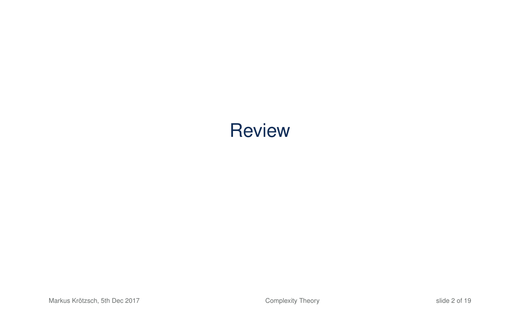# **Review**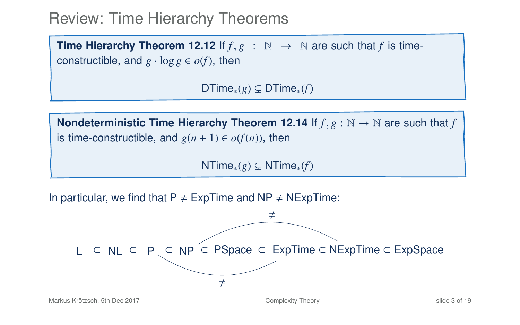#### Review: Time Hierarchy Theorems

**Time Hierarchy Theorem 12.12** If  $f, g : \mathbb{N} \to \mathbb{N}$  are such that f is timeconstructible, and  $g \cdot \log g \in o(f)$ , then

DTime<sub>\*</sub> $(g) \subseteq D$ Time<sub>\*</sub> $(f)$ 

**Nondeterministic Time Hierarchy Theorem 12.14** If  $f, g : \mathbb{N} \to \mathbb{N}$  are such that *f* is time-constructible, and  $g(n + 1) \in o(f(n))$ , then

NTime<sub>∗</sub> $(g)$  ⊆ NTime<sub>\*</sub> $(f)$ 

In particular, we find that  $P \neq ExpTime$  and NP  $\neq$  NExpTime:

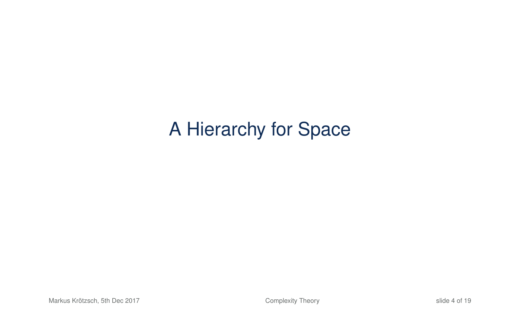# A Hierarchy for Space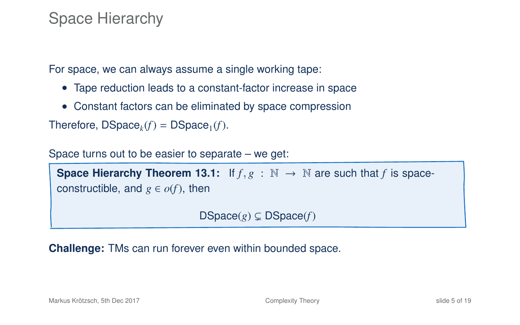#### Space Hierarchy

For space, we can always assume a single working tape:

- Tape reduction leads to a constant-factor increase in space
- Constant factors can be eliminated by space compression

Therefore,  $DSpace_k(f) = DSpace_1(f)$ .

Space turns out to be easier to separate – we get:

```
Space Hierarchy Theorem 13.1: If f, g : \mathbb{N} \to \mathbb{N} are such that f is space-
constructible, and g \in o(f), then
```
<span id="page-4-0"></span> $DSpace(g) \subsetneq DSpace(f)$ 

**Challenge:** TMs can run forever even within bounded space.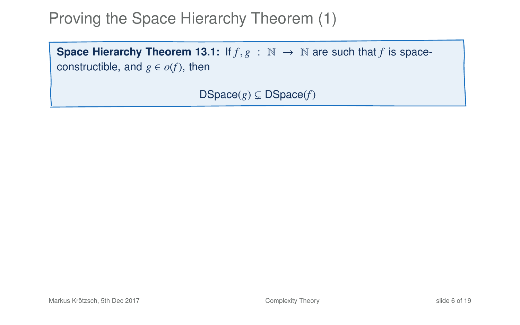**Space Hierarchy Theorem 13[.1:](#page-4-0)** If  $f, g : \mathbb{N} \to \mathbb{N}$  are such that *f* is spaceconstructible, and  $g \in o(f)$ , then

 $DSpace(g) \subsetneq DSpace(f)$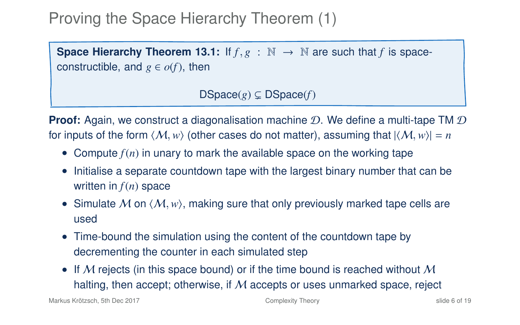**Space Hierarchy Theorem 13[.1:](#page-4-0)** If  $f, g : \mathbb{N} \to \mathbb{N}$  are such that *f* is spaceconstructible, and  $g \in o(f)$ , then

 $DSpace(g) \subseteq DSpace(f)$ 

**Proof:** Again, we construct a diagonalisation machine D. We define a multi-tape TM D for inputs of the form  $\langle M, w \rangle$  (other cases do not matter), assuming that  $|\langle M, w \rangle| = n$ 

- Compute  $f(n)$  in unary to mark the available space on the working tape
- Initialise a separate countdown tape with the largest binary number that can be written in *f*(*n*) space
- Simulate M on  $\langle M, w \rangle$ , making sure that only previously marked tape cells are used
- Time-bound the simulation using the content of the countdown tape by decrementing the counter in each simulated step
- If M rejects (in this space bound) or if the time bound is reached without M halting, then accept; otherwise, if  $M$  accepts or uses unmarked space, reject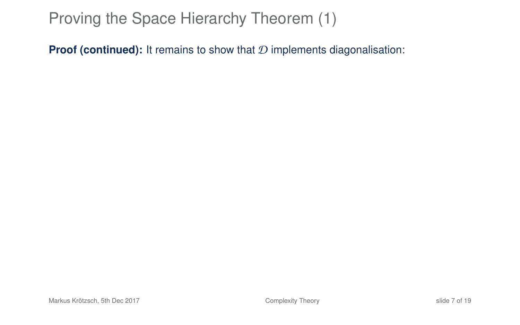**Proof (continued):** It remains to show that  $D$  implements diagonalisation: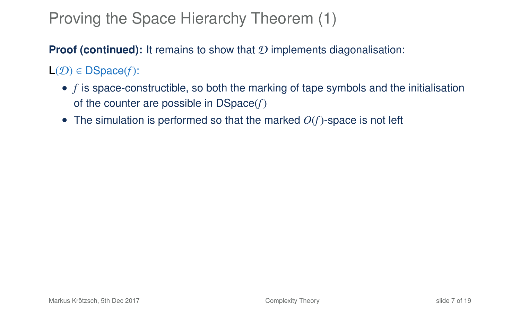**Proof (continued):** It remains to show that D implements diagonalisation:

 $L(\mathcal{D}) \in DSpace(f)$ :

- *f* is space-constructible, so both the marking of tape symbols and the initialisation of the counter are possible in DSpace(*f*)
- The simulation is performed so that the marked  $O(f)$ -space is not left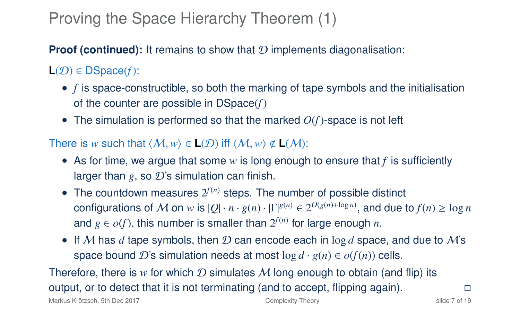**Proof (continued):** It remains to show that D implements diagonalisation:

 $L(\mathcal{D}) \in \mathsf{DSpace}(f)$ :

- *f* is space-constructible, so both the marking of tape symbols and the initialisation of the counter are possible in DSpace(*f*)
- The simulation is performed so that the marked  $O(f)$ -space is not left

#### There is *w* such that  $\langle M, w \rangle \in L(\mathcal{D})$  iff  $\langle M, w \rangle \notin L(\mathcal{M})$ :

- As for time, we argue that some *w* is long enough to ensure that *f* is sufficiently larger than  $g$ , so  $\mathcal{D}$ 's simulation can finish.
- The countdown measures  $2^{f(n)}$  steps. The number of possible distinct  ${\rm configurations}$  of  $M$  on  $w$  is  $|Q| \cdot n \cdot g(n) \cdot |\Gamma|^{g(n)} \in 2^{O(g(n) + \log n)},$  and due to  $f(n) \geq \log n$ and  $g \in o(f)$ , this number is smaller than  $2^{f(n)}$  for large enough  $n$ .
- If M has  $d$  tape symbols, then  $D$  can encode each in log  $d$  space, and due to M's space bound D's simulation needs at most  $\log d \cdot g(n) \in o(f(n))$  cells.

Therefore, there is *w* for which  $D$  simulates  $M$  long enough to obtain (and flip) its output, or to detect that it is not terminating (and to accept, flipping again).  $\Box$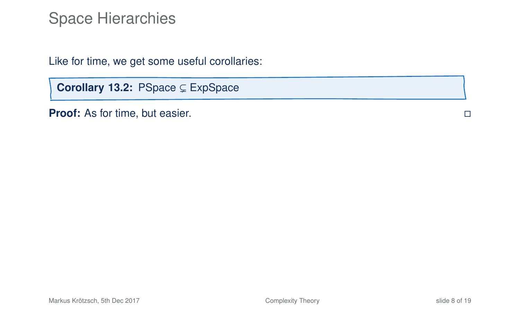Like for time, we get some useful corollaries:

Corollary 13.2: PSpace ⊆ ExpSpace

**Proof:** As for time, but easier.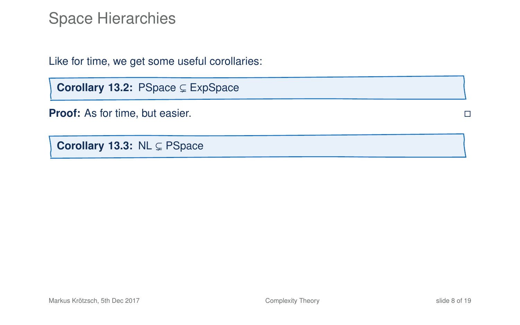Like for time, we get some useful corollaries:

Corollary 13.2: PSpace  $\subsetneq$  ExpSpace

**Proof:** As for time, but easier.

Corollary 13.3: NL CR PSpace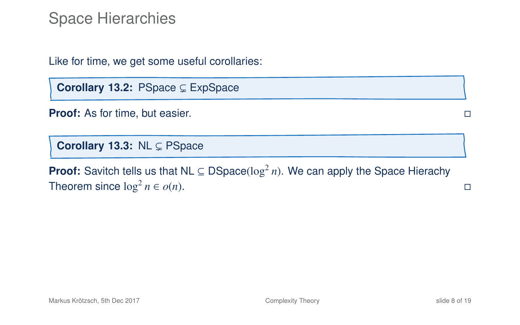Like for time, we get some useful corollaries:

Corollary 13.2: PSpace ⊆ ExpSpace

**Proof:** As for time, but easier.

Corollary 13.3: NL C PSpace

**Proof:** Savitch tells us that NL  $\subseteq$  DSpace( $\log^2 n$ ). We can apply the Space Hierachy Theorem since  $\log^2 n \in o(n)$ . □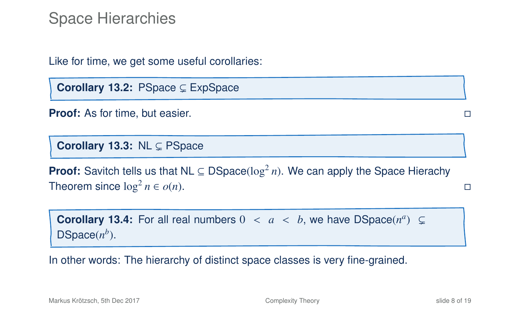Like for time, we get some useful corollaries:

**Corollary 13.2: PSpace CEXpSpace** 

**Proof:** As for time, but easier.

Corollary 13.3: NL C PSpace

**Proof:** Savitch tells us that NL  $\subseteq$  DSpace( $\log^2 n$ ). We can apply the Space Hierachy Theorem since  $\log^2 n \in o(n)$ .  $n \in o(n)$ .

**Corollary 13.4:** For all real numbers  $0 < a < b$ , we have  $DSpace(n^a) \subseteq$ <br>  $DSpace(n^b)$  $DSpace(n^b)$ .

In other words: The hierarchy of distinct space classes is very fine-grained.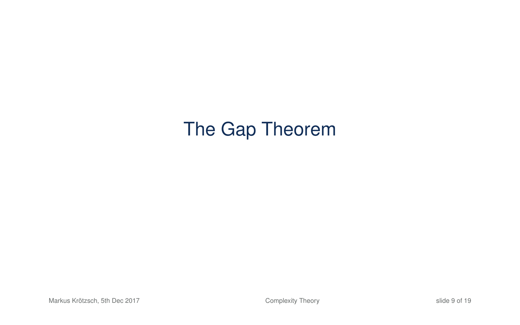# The Gap Theorem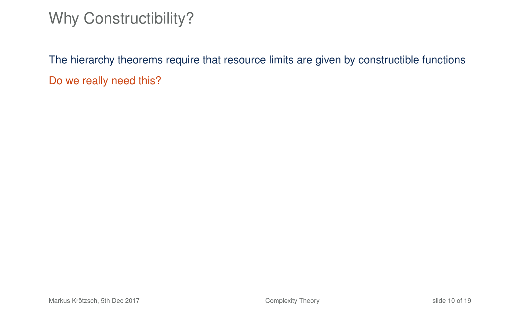# Why Constructibility?

<span id="page-15-0"></span>The hierarchy theorems require that resource limits are given by constructible functions Do we really need this?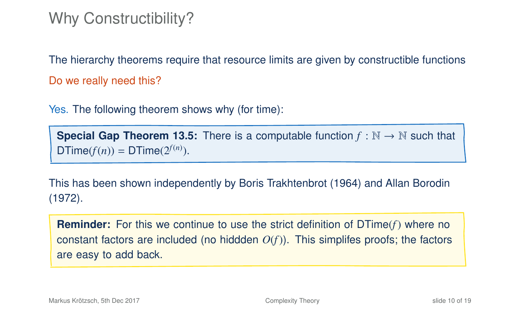## Why Constructibility?

The hierarchy theorems require that resource limits are given by constructible functions Do we really need this?

Yes. The following theorem shows why (for time):

**Special Gap Theorem 13.5:** There is a computable function  $f : \mathbb{N} \to \mathbb{N}$  such that  $DTime(f(n)) = DTime(2^{f(n)})$ .

This has been shown independently by Boris Trakhtenbrot (1964) and Allan Borodin (1972).

**Reminder:** For this we continue to use the strict definition of DTime(*f*) where no constant factors are included (no hiddden *O*(*f*)). This simplifes proofs; the factors are easy to add back.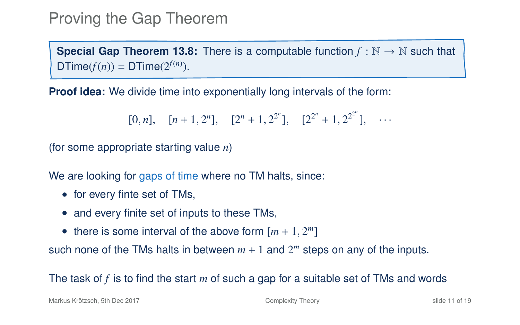# Proving the Gap Theorem

**Special Gap Theorem 13[.8:](#page-15-0)** There is a computable function  $f : \mathbb{N} \to \mathbb{N}$  such that  $DTime(f(n)) = DTime(2^{f(n)})$ .

**Proof idea:** We divide time into exponentially long intervals of the form:

$$
[0, n], [n+1, 2^n], [2^n + 1, 2^{2^n}], [2^{2^n} + 1, 2^{2^{2^n}}], \cdots
$$

(for some appropriate starting value *n*)

We are looking for gaps of time where no TM halts, since:

- for every finte set of TMs,
- and every finite set of inputs to these TMs,
- there is some interval of the above form  $[m + 1, 2^m]$

such none of the TMs halts in between  $m + 1$  and  $2<sup>m</sup>$  steps on any of the inputs.

#### The task of *f* is to find the start *m* of such a gap for a suitable set of TMs and words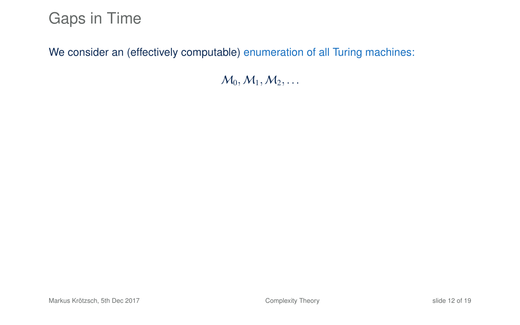#### Gaps in Time

We consider an (effectively computable) enumeration of all Turing machines:

 $M_0, M_1, M_2, \ldots$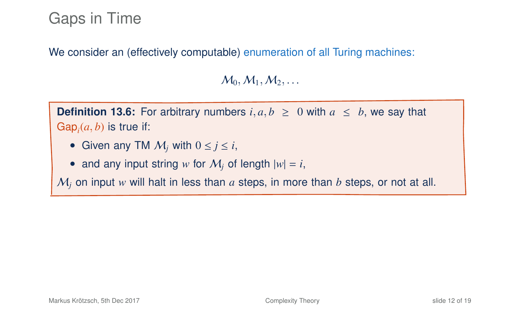## Gaps in Time

We consider an (effectively computable) enumeration of all Turing machines:

 $M_0, M_1, M_2, \ldots$ 

**Definition 13.6:** For arbitrary numbers  $i, a, b > 0$  with  $a < b$ , we say that  $\mathsf{Gap}_i(a, b)$  is true if:

- Given any TM  $M_i$  with  $0 \le i \le i$ ,
- and any input string *w* for  $M_i$  of length  $|w| = i$ ,

 $M_i$  on input  $w$  will halt in less than  $a$  steps, in more than  $b$  steps, or not at all.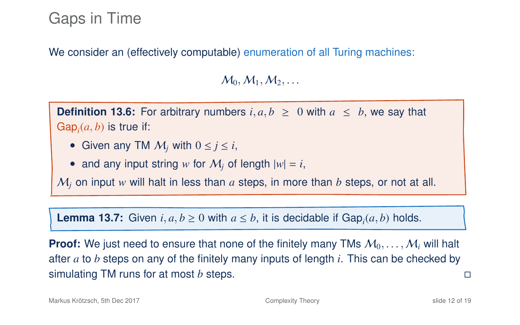### Gaps in Time

We consider an (effectively computable) enumeration of all Turing machines:

 $M_0, M_1, M_2, \ldots$ 

**Definition 13.6:** For arbitrary numbers  $i, a, b \ge 0$  with  $a \le b$ , we say that  $\mathsf{Gap}_i(a, b)$  is true if:

- Given any TM  $M_i$  with  $0 \le i \le i$ ,
- and any input string w for  $M_i$  of length  $|w| = i$ ,

 $M_i$  on input  $w$  will halt in less than  $a$  steps, in more than  $b$  steps, or not at all.

**Lemma 13.7:** Given  $i, a, b \ge 0$  with  $a \le b$ , it is decidable if Gap<sub>*i*</sub> $(a, b)$  holds.

**Proof:** We just need to ensure that none of the finitely many TMs  $M_0, \ldots, M_i$  will halt after *a* to *b* steps on any of the finitely many inputs of length *i*. This can be checked by simulating TM runs for at most *b* steps.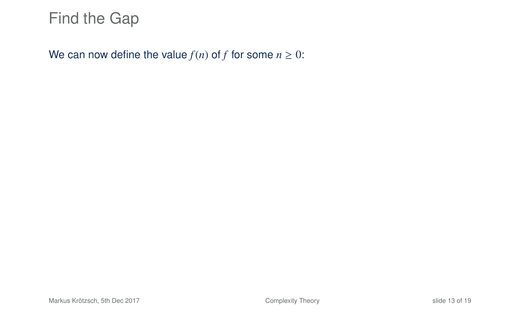We can now define the value  $f(n)$  of *f* for some  $n \geq 0$ :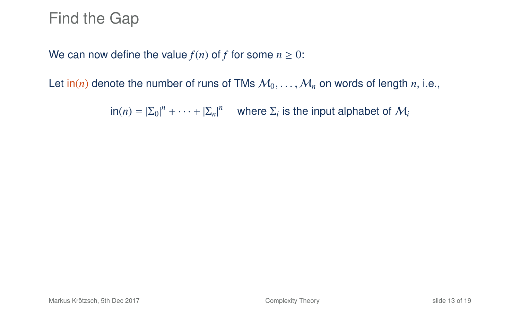We can now define the value  $f(n)$  of *f* for some  $n \geq 0$ :

Let  $\text{in}(n)$  denote the number of runs of TMs  $M_0, \ldots, M_n$  on words of length *n*, i.e.,

 $\ln(n) = |\Sigma_0|^n + \cdots + |\Sigma_n|^n$  where  $\Sigma_i$  is the input alphabet of  $\mathcal{M}_i$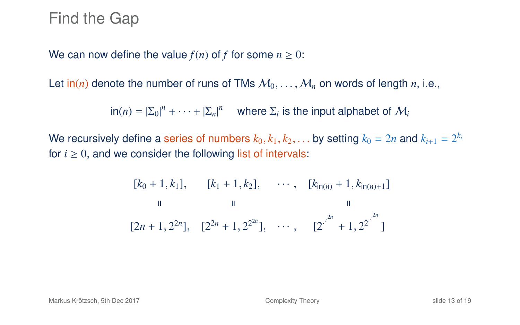We can now define the value  $f(n)$  of  $f$  for some  $n \geq 0$ :

Let  $\text{in}(n)$  denote the number of runs of TMs  $M_0, \ldots, M_n$  on words of length *n*, i.e.,

 $\ln(n) = |\Sigma_0|^n + \cdots + |\Sigma_n|^n$  where  $\Sigma_i$  is the input alphabet of  $\mathcal{M}_i$ 

We recursively define a series of numbers  $k_0, k_1, k_2, \ldots$  by setting  $k_0 = 2n$  and  $k_{i+1} = 2^{k_i}$ <br>for  $i > 0$ , and we consider the following list of intervals: for  $i \geq 0$ , and we consider the following list of intervals:

$$
[k_0 + 1, k_1], \t [k_1 + 1, k_2], \t \cdots, \t [k_{\ln(n)} + 1, k_{\ln(n)+1}]
$$
  
\n
$$
\parallel \t \parallel
$$
  
\n
$$
[2n + 1, 2^{2n}], \t [2^{2n} + 1, 2^{2n}], \t \cdots, \t [2^{2^{2n}} + 1, 2^{2^{2n}}]
$$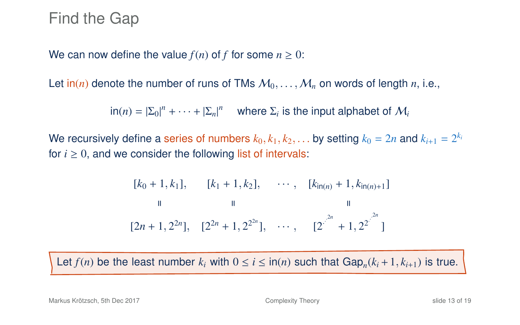We can now define the value  $f(n)$  of f for some  $n \geq 0$ :

Let  $\text{in}(n)$  denote the number of runs of TMs  $M_0, \ldots, M_n$  on words of length *n*, i.e.,

 $\ln(n) = |\Sigma_0|^n + \cdots + |\Sigma_n|^n$  where  $\Sigma_i$  is the input alphabet of  $\mathcal{M}_i$ 

We recursively define a series of numbers  $k_0, k_1, k_2, \ldots$  by setting  $k_0 = 2n$  and  $k_{i+1} = 2^{k_i}$ <br>for  $i > 0$ , and we consider the following list of intervals: for  $i \geq 0$ , and we consider the following list of intervals:

$$
[k_0 + 1, k_1], \t [k_1 + 1, k_2], \t \cdots, \t [k_{\ln(n)} + 1, k_{\ln(n)+1}]
$$
  
\n
$$
\parallel \t \parallel
$$
  
\n
$$
[2n + 1, 2^{2n}], \t [2^{2n} + 1, 2^{2n}], \t \cdots, \t [2^{2^{2n}} + 1, 2^{2^{2n}}]
$$

Let  $f(n)$  be the least number  $k_i$  with  $0 \le i \le \text{in}(n)$  such that  $\text{Gap}_n(k_i+1, k_{i+1})$  is true.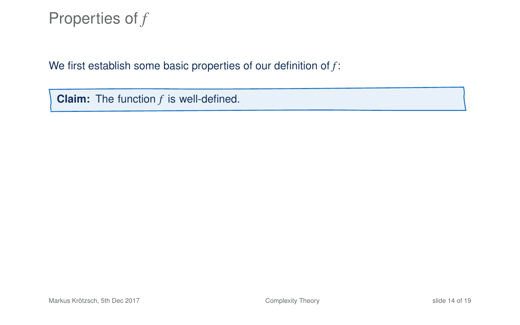We first establish some basic properties of our definition of *f* :

**Claim:** The function *f* is well-defined.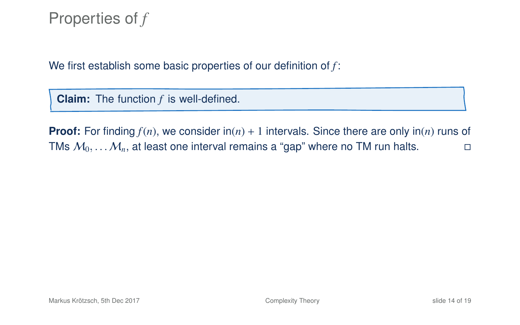We first establish some basic properties of our definition of *f* :

**Claim:** The function *f* is well-defined.

**Proof:** For finding  $f(n)$ , we consider  $\text{in}(n) + 1$  intervals. Since there are only  $\text{in}(n)$  runs of TMs  $M_0, \ldots, M_n$ , at least one interval remains a "gap" where no TM run halts.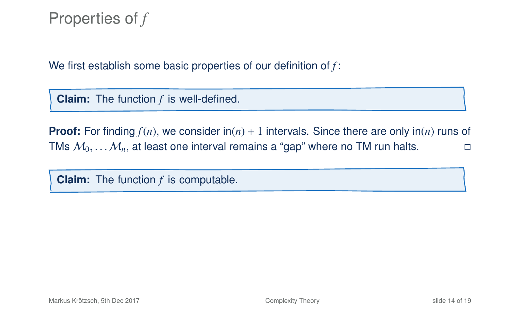We first establish some basic properties of our definition of *f* :

**Claim:** The function *f* is well-defined.

**Proof:** For finding  $f(n)$ , we consider  $\text{in}(n) + 1$  intervals. Since there are only  $\text{in}(n)$  runs of TMs  $M_0, \ldots, M_n$ , at least one interval remains a "gap" where no TM run halts.

**Claim:** The function *f* is computable.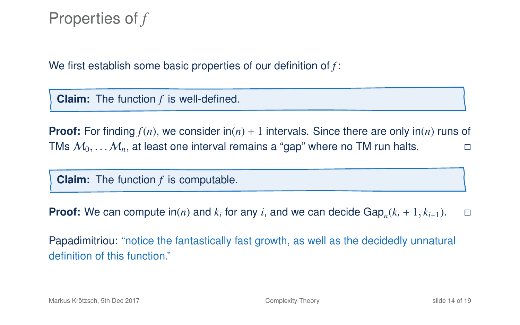We first establish some basic properties of our definition of *f* :

**Claim:** The function *f* is well-defined.

**Proof:** For finding  $f(n)$ , we consider  $\text{in}(n) + 1$  intervals. Since there are only  $\text{in}(n)$  runs of TMs  $M_0, \ldots, M_n$ , at least one interval remains a "gap" where no TM run halts.

**Claim:** The function *f* is computable.

**Proof:** We can compute  $\text{in}(n)$  and  $k_i$  for any *i*, and we can decide  $\text{Gap}_n(k_i + 1, k_{i+1})$ .  $\Box$ 

Papadimitriou: "notice the fantastically fast growth, as well as the decidedly unnatural definition of this function."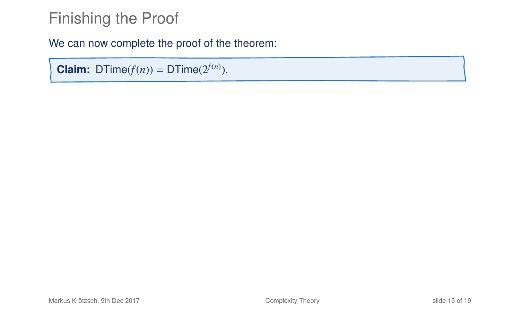We can now complete the proof of the theorem:

**Claim:** DTime( $f(n)$ ) = DTime( $2^{f(n)}$ ).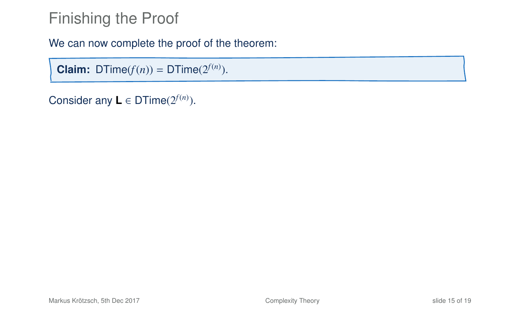We can now complete the proof of the theorem:

**Claim:** DTime( $f(n)$ ) = DTime( $2^{f(n)}$ ).

Consider any  $\mathbf{L} \in \text{DTime}(2^{f(n)})$ .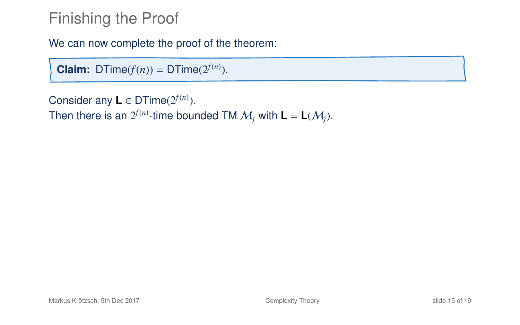We can now complete the proof of the theorem:

**Claim:** DTime( $f(n)$ ) = DTime( $2^{f(n)}$ ).

Consider any  $\mathbf{L} \in \text{DTime}(2^{f(n)})$ .

Then there is an  $2^{f(n)}$ -time bounded TM  $\mathcal{M}_j$  with  $\mathsf{L} = \mathsf{L}(\mathcal{M}_j).$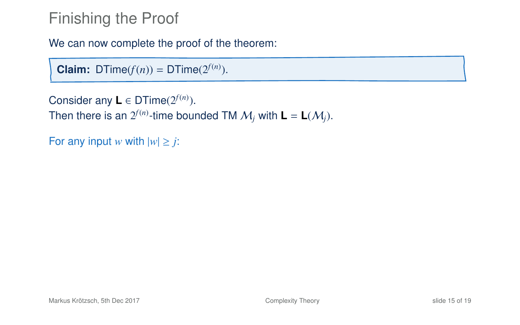We can now complete the proof of the theorem:

**Claim:** DTime( $f(n)$ ) = DTime( $2^{f(n)}$ ).

```
Consider any \mathbf{L} \in \text{DTime}(2^{f(n)}).
Then there is an 2^{f(n)}-time bounded TM \mathcal{M}_j with \mathsf{L} = \mathsf{L}(\mathcal{M}_j).
```
For any input *w* with  $|w| \ge j$ :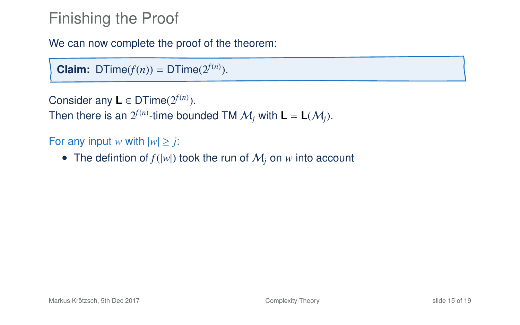We can now complete the proof of the theorem:

**Claim:** DTime( $f(n)$ ) = DTime( $2^{f(n)}$ ).

```
Consider any \mathbf{L} \in \text{DTime}(2^{f(n)}).
```
Then there is an  $2^{f(n)}$ -time bounded TM  $\mathcal{M}_j$  with  $\mathsf{L} = \mathsf{L}(\mathcal{M}_j).$ 

For any input *w* with  $|w| \geq j$ :

• The defintion of  $f(|w|)$  took the run of  $M_i$  on  $w$  into account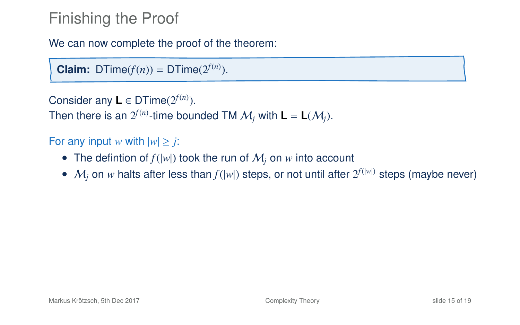We can now complete the proof of the theorem:

**Claim:** DTime( $f(n)$ ) = DTime( $2^{f(n)}$ ).

```
Consider any \mathbf{L} \in \text{DTime}(2^{f(n)}).
```
Then there is an  $2^{f(n)}$ -time bounded TM  $\mathcal{M}_j$  with  $\mathsf{L} = \mathsf{L}(\mathcal{M}_j).$ 

For any input *w* with  $|w| \geq j$ :

- The defintion of  $f(|w|)$  took the run of  $M_i$  on  $w$  into account
- $M_j$  on w halts after less than  $f(|w|)$  steps, or not until after  $2^{f(|w|)}$  steps (maybe never)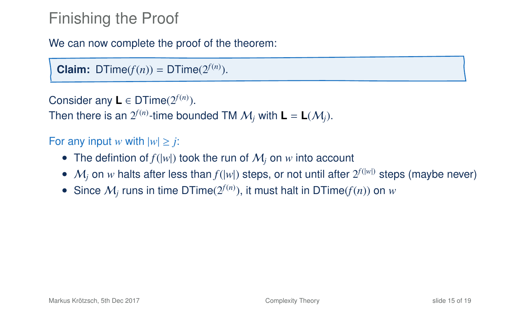We can now complete the proof of the theorem:

**Claim:** DTime( $f(n)$ ) = DTime( $2^{f(n)}$ ).

```
Consider any \mathbf{L} \in \text{DTime}(2^{f(n)}).
```
Then there is an  $2^{f(n)}$ -time bounded TM  $\mathcal{M}_j$  with  $\mathsf{L} = \mathsf{L}(\mathcal{M}_j).$ 

For any input *w* with  $|w| \geq j$ :

- The defintion of  $f(|w|)$  took the run of  $M_i$  on  $w$  into account
- $M_j$  on w halts after less than  $f(|w|)$  steps, or not until after  $2^{f(|w|)}$  steps (maybe never)
- Since  $M_j$  runs in time DTime( $2^{f(n)}$ ), it must halt in DTime( $f(n)$ ) on  $w$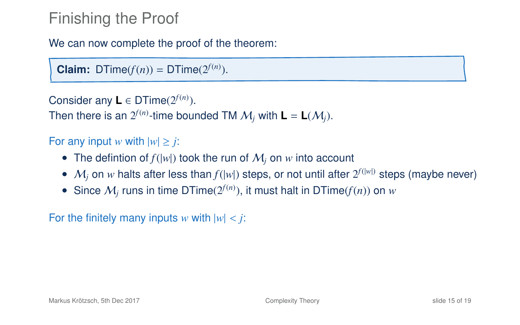We can now complete the proof of the theorem:

**Claim:** DTime( $f(n)$ ) = DTime( $2^{f(n)}$ ).

```
Consider any \mathbf{L} \in \text{DTime}(2^{f(n)}).
```
Then there is an  $2^{f(n)}$ -time bounded TM  $\mathcal{M}_j$  with  $\mathsf{L} = \mathsf{L}(\mathcal{M}_j).$ 

#### For any input *w* with  $|w| \geq j$ :

- The defintion of  $f(|w|)$  took the run of  $M_i$  on  $w$  into account
- $M_j$  on w halts after less than  $f(|w|)$  steps, or not until after  $2^{f(|w|)}$  steps (maybe never)
- Since  $M_j$  runs in time DTime( $2^{f(n)}$ ), it must halt in DTime( $f(n)$ ) on  $w$

For the finitely many inputs *w* with  $|w| < j$ :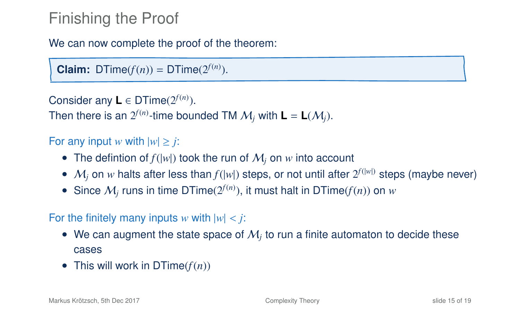We can now complete the proof of the theorem:

**Claim:** DTime( $f(n)$ ) = DTime( $2^{f(n)}$ ).

```
Consider any \mathbf{L} \in \text{DTime}(2^{f(n)}).
```
Then there is an  $2^{f(n)}$ -time bounded TM  $\mathcal{M}_j$  with  $\mathsf{L} = \mathsf{L}(\mathcal{M}_j).$ 

#### For any input *w* with  $|w| \geq j$ :

- The defintion of  $f(|w|)$  took the run of  $M_i$  on  $w$  into account
- $M_j$  on w halts after less than  $f(|w|)$  steps, or not until after  $2^{f(|w|)}$  steps (maybe never)
- Since  $M_j$  runs in time DTime( $2^{f(n)}$ ), it must halt in DTime( $f(n)$ ) on  $w$

#### For the finitely many inputs *w* with  $|w| < j$ :

- $\bullet\;$  We can augment the state space of  $\mathcal{M}_j$  to run a finite automaton to decide these cases
- This will work in  $DTime(f(n))$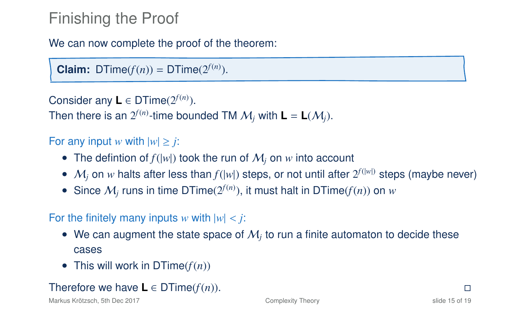We can now complete the proof of the theorem:

**Claim:** DTime( $f(n)$ ) = DTime( $2^{f(n)}$ ).

```
Consider any \mathbf{L} \in \text{DTime}(2^{f(n)}).
```
Then there is an  $2^{f(n)}$ -time bounded TM  $\mathcal{M}_j$  with  $\mathsf{L} = \mathsf{L}(\mathcal{M}_j).$ 

#### For any input *w* with  $|w| \geq j$ :

- The defintion of  $f(|w|)$  took the run of  $M_i$  on  $w$  into account
- $M_j$  on w halts after less than  $f(|w|)$  steps, or not until after  $2^{f(|w|)}$  steps (maybe never)
- Since  $M_j$  runs in time DTime( $2^{f(n)}$ ), it must halt in DTime( $f(n)$ ) on  $w$

#### For the finitely many inputs *w* with  $|w| < j$ :

- $\bullet\;$  We can augment the state space of  $\mathcal{M}_j$  to run a finite automaton to decide these cases
- This will work in  $DTime(f(n))$

#### Therefore we have  $\mathbf{L} \in \text{DTime}(f(n)).$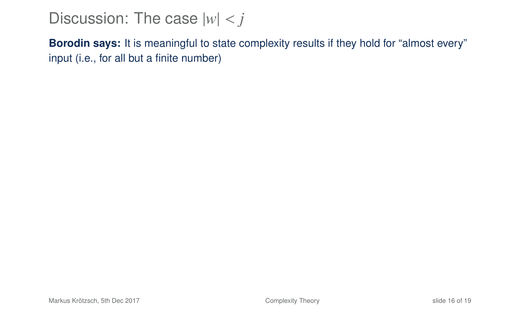**Borodin says:** It is meaningful to state complexity results if they hold for "almost every" input (i.e., for all but a finite number)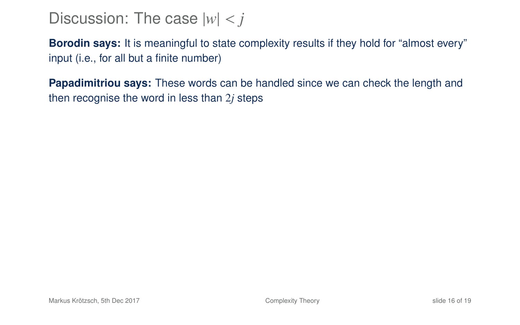**Borodin says:** It is meaningful to state complexity results if they hold for "almost every" input (i.e., for all but a finite number)

**Papadimitriou says:** These words can be handled since we can check the length and then recognise the word in less than 2*j* steps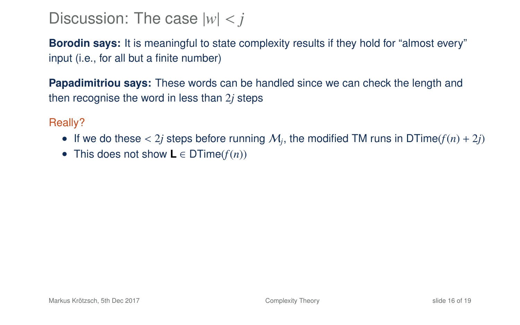**Borodin says:** It is meaningful to state complexity results if they hold for "almost every" input (i.e., for all but a finite number)

**Papadimitriou says:** These words can be handled since we can check the length and then recognise the word in less than 2*j* steps

Really?

- If we do these  $\langle 2j \rangle$  steps before running  $M_j$ , the modified TM runs in DTime( $f(n) + 2j$ )<br>• This does not show L  $\subseteq$  DTime( $f(n)$ )
- This does not show **L** ∈ DTime(*f*(*n*))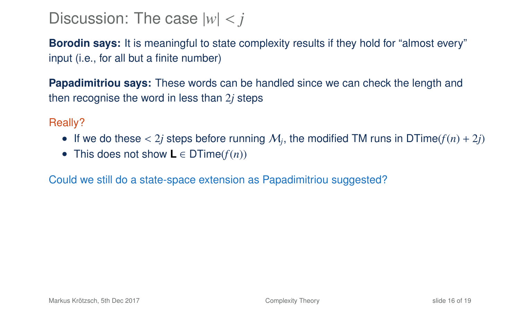**Borodin says:** It is meaningful to state complexity results if they hold for "almost every" input (i.e., for all but a finite number)

**Papadimitriou says:** These words can be handled since we can check the length and then recognise the word in less than 2*j* steps

Really?

- If we do these  $\langle 2j \rangle$  steps before running  $M_j$ , the modified TM runs in DTime( $f(n) + 2j$ )<br>• This does not show L  $\subseteq$  DTime( $f(n)$ )
- This does not show **L** ∈ DTime(*f*(*n*))

Could we still do a state-space extension as Papadimitriou suggested?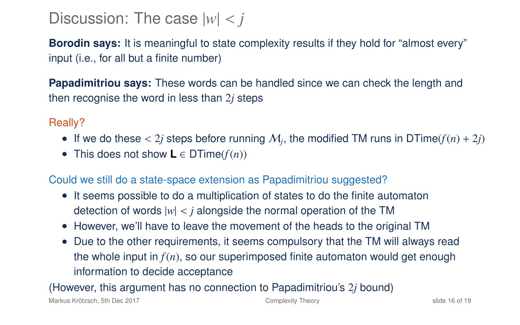**Borodin says:** It is meaningful to state complexity results if they hold for "almost every" input (i.e., for all but a finite number)

**Papadimitriou says:** These words can be handled since we can check the length and then recognise the word in less than 2*j* steps

Really?

- If we do these  $\langle 2j \rangle$  steps before running  $M_j$ , the modified TM runs in DTime( $f(n) + 2j$ )<br>• This does not show L  $\subseteq$  DTime( $f(n)$ )
- This does not show **L** ∈ DTime(*f*(*n*))

Could we still do a state-space extension as Papadimitriou suggested?

- It seems possible to do a multiplication of states to do the finite automaton detection of words  $|w| < i$  alongside the normal operation of the TM
- However, we'll have to leave the movement of the heads to the original TM
- Due to the other requirements, it seems compulsory that the TM will always read the whole input in  $f(n)$ , so our superimposed finite automaton would get enough information to decide acceptance

(However, this argument has no connection to Papadimitriou's 2*j* bound)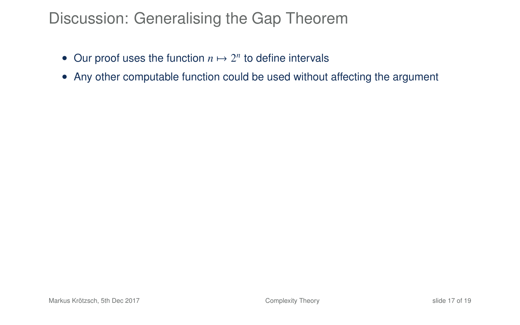## Discussion: Generalising the Gap Theorem

- Our proof uses the function  $n \mapsto 2^n$  to define intervals
- Any other computable function could be used without affecting the argument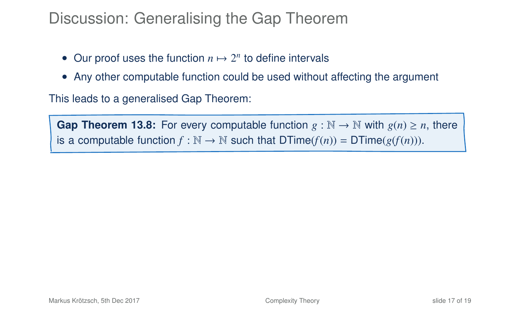### Discussion: Generalising the Gap Theorem

- Our proof uses the function  $n \mapsto 2^n$  to define intervals
- Any other computable function could be used without affecting the argument

This leads to a generalised Gap Theorem:

**Gap Theorem 13.8:** For every computable function  $g : \mathbb{N} \to \mathbb{N}$  with  $g(n) \ge n$ , there is a computable function  $f : \mathbb{N} \to \mathbb{N}$  such that  $DTime(f(n)) = DTime(g(f(n))).$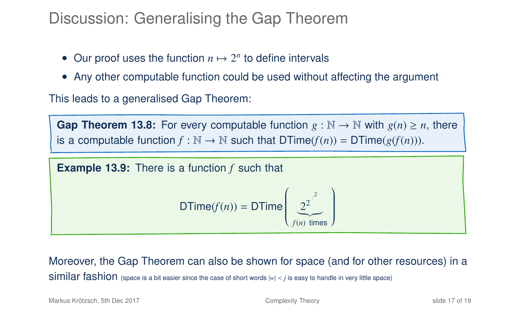#### Discussion: Generalising the Gap Theorem

- Our proof uses the function  $n \mapsto 2^n$  to define intervals
- Any other computable function could be used without affecting the argument

This leads to a generalised Gap Theorem:

**Gap Theorem 13.8:** For every computable function  $g : \mathbb{N} \to \mathbb{N}$  with  $g(n) \ge n$ , there is a computable function  $f : \mathbb{N} \to \mathbb{N}$  such that  $DTime(f(n)) = DTime(g(f(n))).$ 

**Example 13.9:** There is a function *f* such that\n
$$
\mathsf{DTime}(f(n)) = \mathsf{DTime}\left(\underbrace{2^{2^{\cdot^2}}}_{f(n) \text{ times}}\right)
$$

Moreover, the Gap Theorem can also be shown for space (and for other resources) in a **Similar fashion** (space is a bit easier since the case of short words  $|w| < j$  is easy to handle in very little space)

Markus Krötzsch, 5th Dec 2017 [Complexity Theory](#page-0-0) slide 17 of 19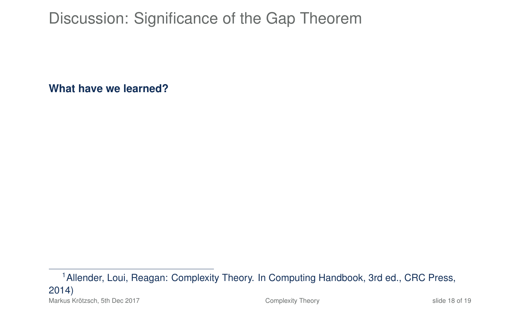**What have we learned?**

<sup>1</sup>Allender, Loui, Reagan: Complexity Theory. In Computing Handbook, 3rd ed., CRC Press, 2014) Markus Krötzsch, 5th Dec 2017 **[Complexity Theory](#page-0-0)** Complexity Theory slide 18 of 19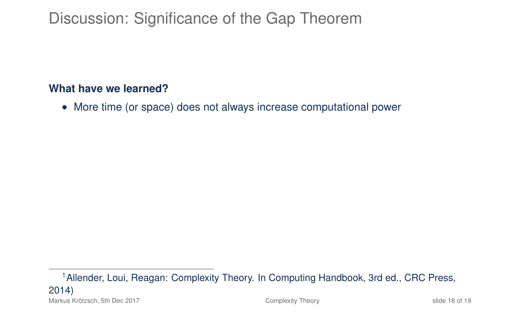#### **What have we learned?**

• More time (or space) does not always increase computational power

<sup>1</sup>Allender, Loui, Reagan: Complexity Theory. In Computing Handbook, 3rd ed., CRC Press, 2014) Markus Krötzsch, 5th Dec 2017 [Complexity Theory](#page-0-0) slide 18 of 19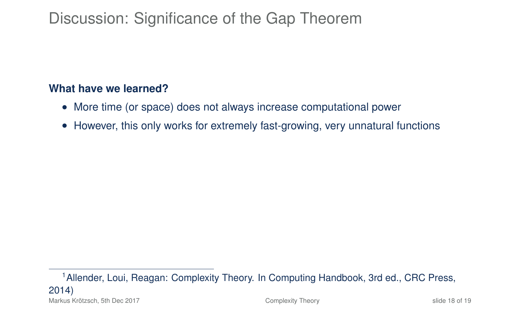#### **What have we learned?**

- More time (or space) does not always increase computational power
- However, this only works for extremely fast-growing, very unnatural functions

<sup>1</sup>Allender, Loui, Reagan: Complexity Theory. In Computing Handbook, 3rd ed., CRC Press, 2014) Markus Krötzsch, 5th Dec 2017 [Complexity Theory](#page-0-0) slide 18 of 19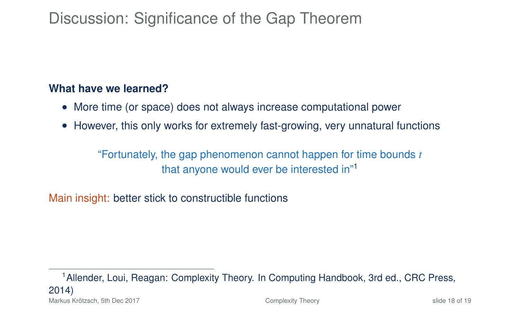#### **What have we learned?**

- More time (or space) does not always increase computational power
- However, this only works for extremely fast-growing, very unnatural functions

"Fortunately, the gap phenomenon cannot happen for time bounds *t* that anyone would ever be interested in"<sup>1</sup>

Main insight: better stick to constructible functions

<sup>1</sup>Allender, Loui, Reagan: Complexity Theory. In Computing Handbook, 3rd ed., CRC Press, 2014) Markus Krötzsch, 5th Dec 2017 [Complexity Theory](#page-0-0) slide 18 of 19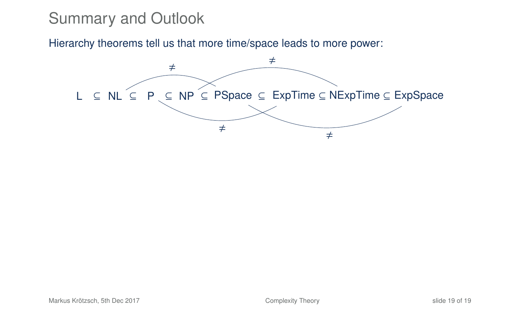Hierarchy theorems tell us that more time/space leads to more power:

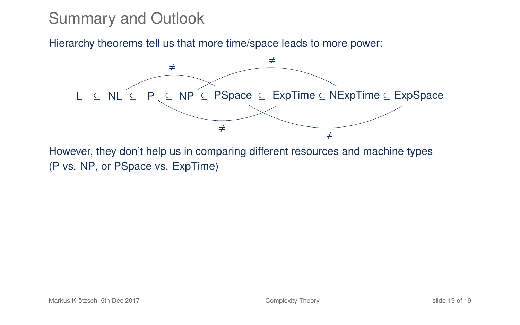Hierarchy theorems tell us that more time/space leads to more power:



However, they don't help us in comparing different resources and machine types (P vs. NP, or PSpace vs. ExpTime)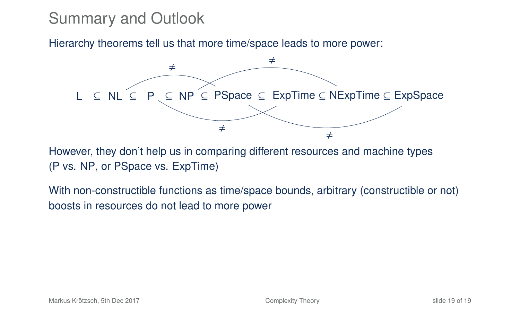Hierarchy theorems tell us that more time/space leads to more power:



However, they don't help us in comparing different resources and machine types (P vs. NP, or PSpace vs. ExpTime)

With non-constructible functions as time/space bounds, arbitrary (constructible or not) boosts in resources do not lead to more power